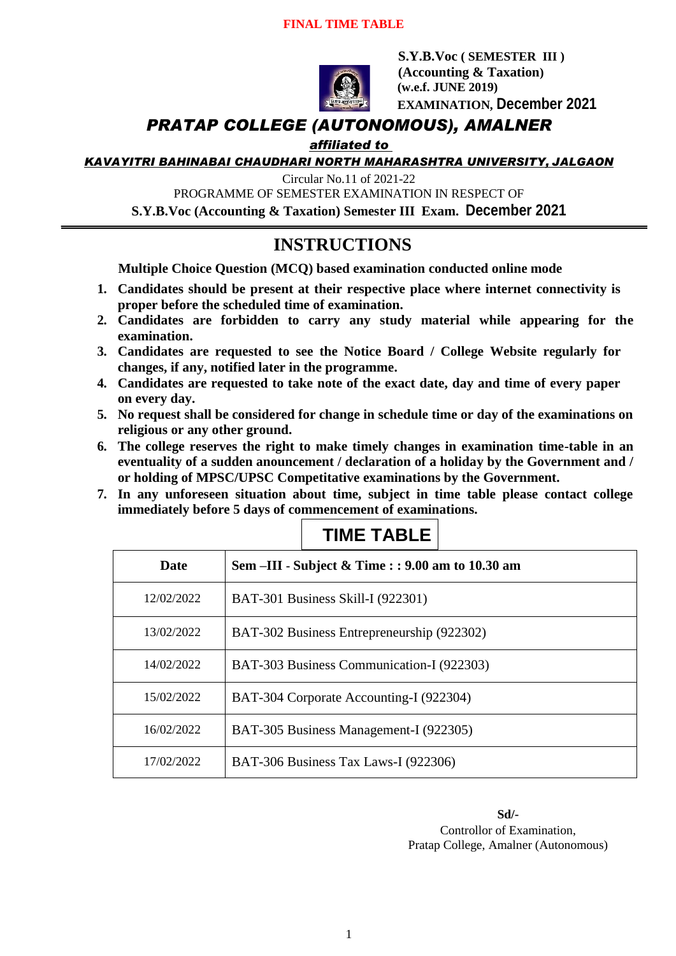#### **FINAL TIME TABLE**



 **S.Y.B.Voc ( SEMESTER III ) (Accounting & Taxation) (w.e.f. JUNE 2019) EXAMINATION, December 2021**

### *PRATAP COLLEGE (AUTONOMOUS), AMALNER*

*affiliated to* 

*KAVAYITRI BAHINABAI CHAUDHARI NORTH MAHARASHTRA UNIVERSITY, JALGAON*

Circular No.11 of 2021-22

PROGRAMME OF SEMESTER EXAMINATION IN RESPECT OF

**S.Y.B.Voc (Accounting & Taxation) Semester III Exam. December 2021**

## **INSTRUCTIONS**

**Multiple Choice Question (MCQ) based examination conducted online mode**

- **1. Candidates should be present at their respective place where internet connectivity is proper before the scheduled time of examination.**
- **2. Candidates are forbidden to carry any study material while appearing for the examination.**
- **3. Candidates are requested to see the Notice Board / College Website regularly for changes, if any, notified later in the programme.**
- **4. Candidates are requested to take note of the exact date, day and time of every paper on every day.**
- **5. No request shall be considered for change in schedule time or day of the examinations on religious or any other ground.**
- **6. The college reserves the right to make timely changes in examination time-table in an eventuality of a sudden anouncement / declaration of a holiday by the Government and / or holding of MPSC/UPSC Competitative examinations by the Government.**
- **7. In any unforeseen situation about time, subject in time table please contact college immediately before 5 days of commencement of examinations.**

| <b>Date</b> | Sem $\text{III}$ - Subject & Time : : 9.00 am to 10.30 am |
|-------------|-----------------------------------------------------------|
| 12/02/2022  | <b>BAT-301 Business Skill-I (922301)</b>                  |
| 13/02/2022  | BAT-302 Business Entrepreneurship (922302)                |
| 14/02/2022  | BAT-303 Business Communication-I (922303)                 |
| 15/02/2022  | BAT-304 Corporate Accounting-I (922304)                   |
| 16/02/2022  | BAT-305 Business Management-I (922305)                    |
| 17/02/2022  | BAT-306 Business Tax Laws-I (922306)                      |

# **TIME TABLE**

**Sd/-** Controllor of Examination, Pratap College, Amalner (Autonomous)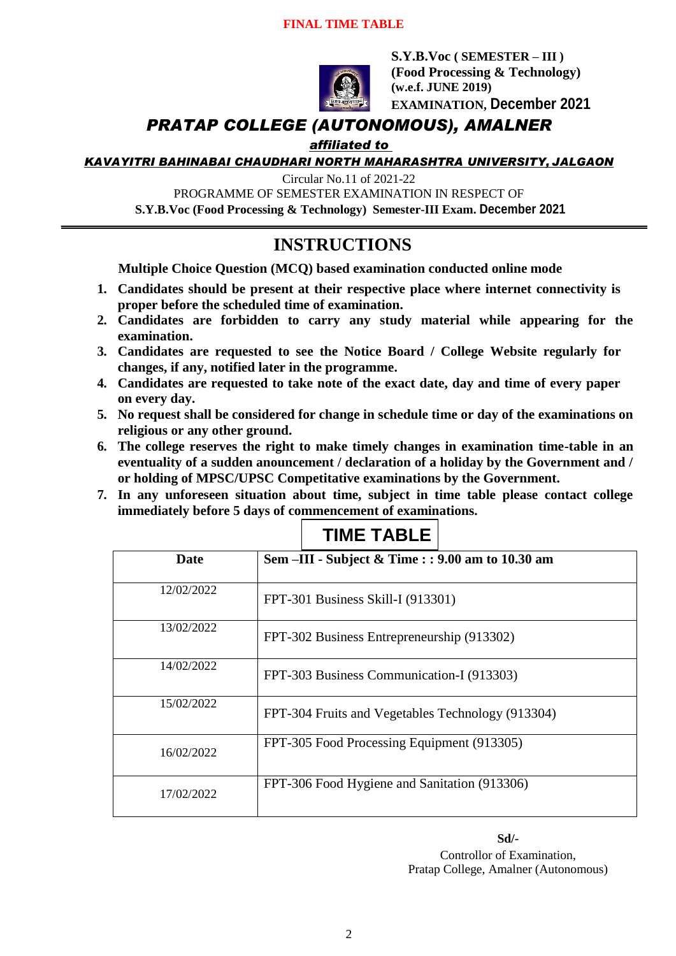### **FINAL TIME TABLE**



**S.Y.B.Voc ( SEMESTER – III ) (Food Processing & Technology) (w.e.f. JUNE 2019) EXAMINATION, December 2021**

## *PRATAP COLLEGE (AUTONOMOUS), AMALNER*

*affiliated to* 

*KAVAYITRI BAHINABAI CHAUDHARI NORTH MAHARASHTRA UNIVERSITY, JALGAON*

Circular No.11 of 2021-22

PROGRAMME OF SEMESTER EXAMINATION IN RESPECT OF

**S.Y.B.Voc (Food Processing & Technology) Semester-III Exam. December 2021**

## **INSTRUCTIONS**

**Multiple Choice Question (MCQ) based examination conducted online mode**

- **1. Candidates should be present at their respective place where internet connectivity is proper before the scheduled time of examination.**
- **2. Candidates are forbidden to carry any study material while appearing for the examination.**
- **3. Candidates are requested to see the Notice Board / College Website regularly for changes, if any, notified later in the programme.**
- **4. Candidates are requested to take note of the exact date, day and time of every paper on every day.**
- **5. No request shall be considered for change in schedule time or day of the examinations on religious or any other ground.**
- **6. The college reserves the right to make timely changes in examination time-table in an eventuality of a sudden anouncement / declaration of a holiday by the Government and / or holding of MPSC/UPSC Competitative examinations by the Government.**
- **7. In any unforeseen situation about time, subject in time table please contact college immediately before 5 days of commencement of examinations.**

**TIME TABLE**

|             | I IIVIL I ADLL                                    |
|-------------|---------------------------------------------------|
| <b>Date</b> | Sem -III - Subject & Time : : 9.00 am to 10.30 am |
| 12/02/2022  | FPT-301 Business Skill-I (913301)                 |
| 13/02/2022  | FPT-302 Business Entrepreneurship (913302)        |
| 14/02/2022  | FPT-303 Business Communication-I (913303)         |
| 15/02/2022  | FPT-304 Fruits and Vegetables Technology (913304) |
| 16/02/2022  | FPT-305 Food Processing Equipment (913305)        |
| 17/02/2022  | FPT-306 Food Hygiene and Sanitation (913306)      |

**Sd/-**

Controllor of Examination, Pratap College, Amalner (Autonomous)